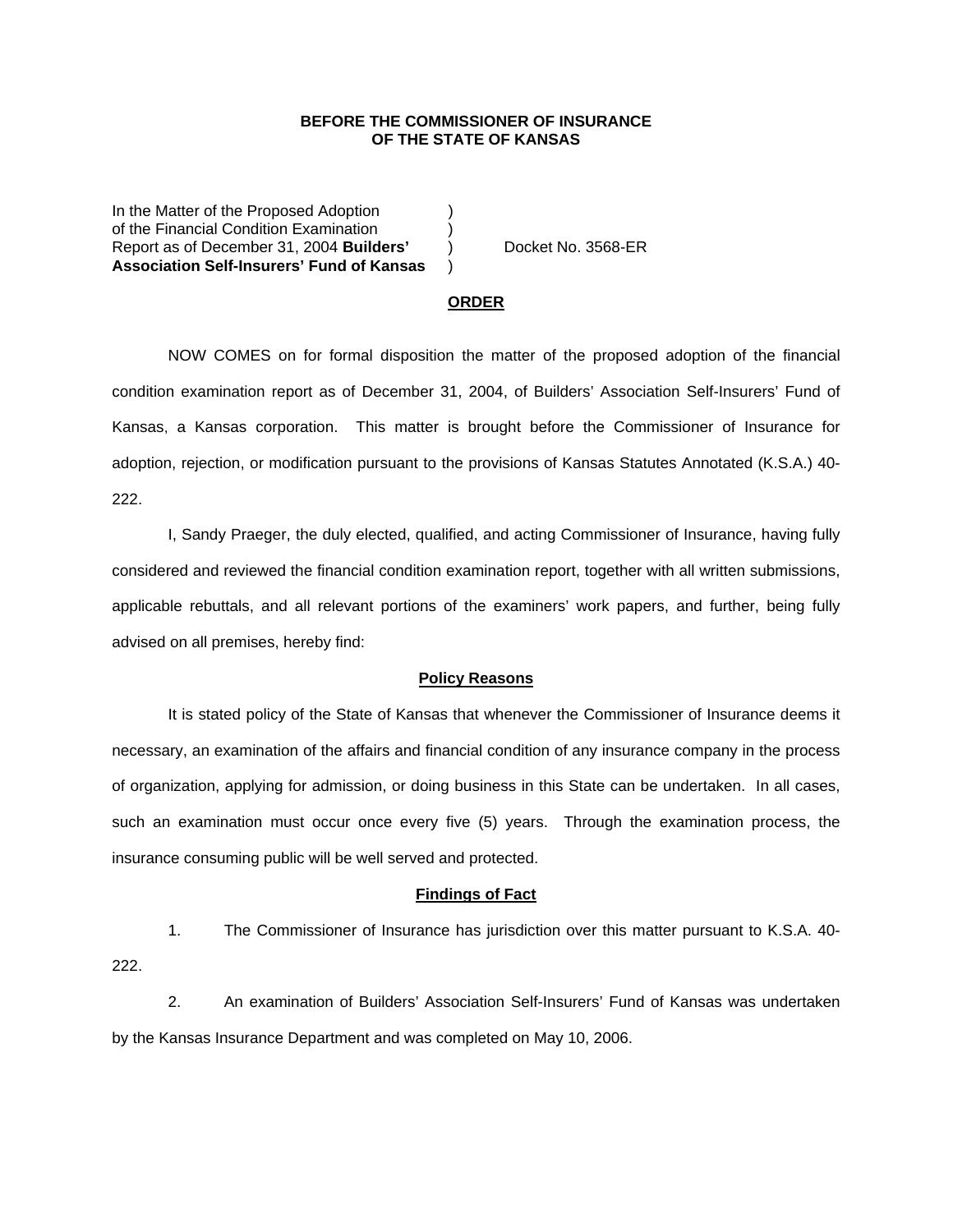## **BEFORE THE COMMISSIONER OF INSURANCE OF THE STATE OF KANSAS**

In the Matter of the Proposed Adoption of the Financial Condition Examination ) Report as of December 31, 2004 **Builders'** ) Docket No. 3568-ER **Association Self-Insurers' Fund of Kansas** )

#### **ORDER**

 NOW COMES on for formal disposition the matter of the proposed adoption of the financial condition examination report as of December 31, 2004, of Builders' Association Self-Insurers' Fund of Kansas, a Kansas corporation. This matter is brought before the Commissioner of Insurance for adoption, rejection, or modification pursuant to the provisions of Kansas Statutes Annotated (K.S.A.) 40- 222.

 I, Sandy Praeger, the duly elected, qualified, and acting Commissioner of Insurance, having fully considered and reviewed the financial condition examination report, together with all written submissions, applicable rebuttals, and all relevant portions of the examiners' work papers, and further, being fully advised on all premises, hereby find:

## **Policy Reasons**

 It is stated policy of the State of Kansas that whenever the Commissioner of Insurance deems it necessary, an examination of the affairs and financial condition of any insurance company in the process of organization, applying for admission, or doing business in this State can be undertaken. In all cases, such an examination must occur once every five (5) years. Through the examination process, the insurance consuming public will be well served and protected.

### **Findings of Fact**

 1. The Commissioner of Insurance has jurisdiction over this matter pursuant to K.S.A. 40- 222.

 2. An examination of Builders' Association Self-Insurers' Fund of Kansas was undertaken by the Kansas Insurance Department and was completed on May 10, 2006.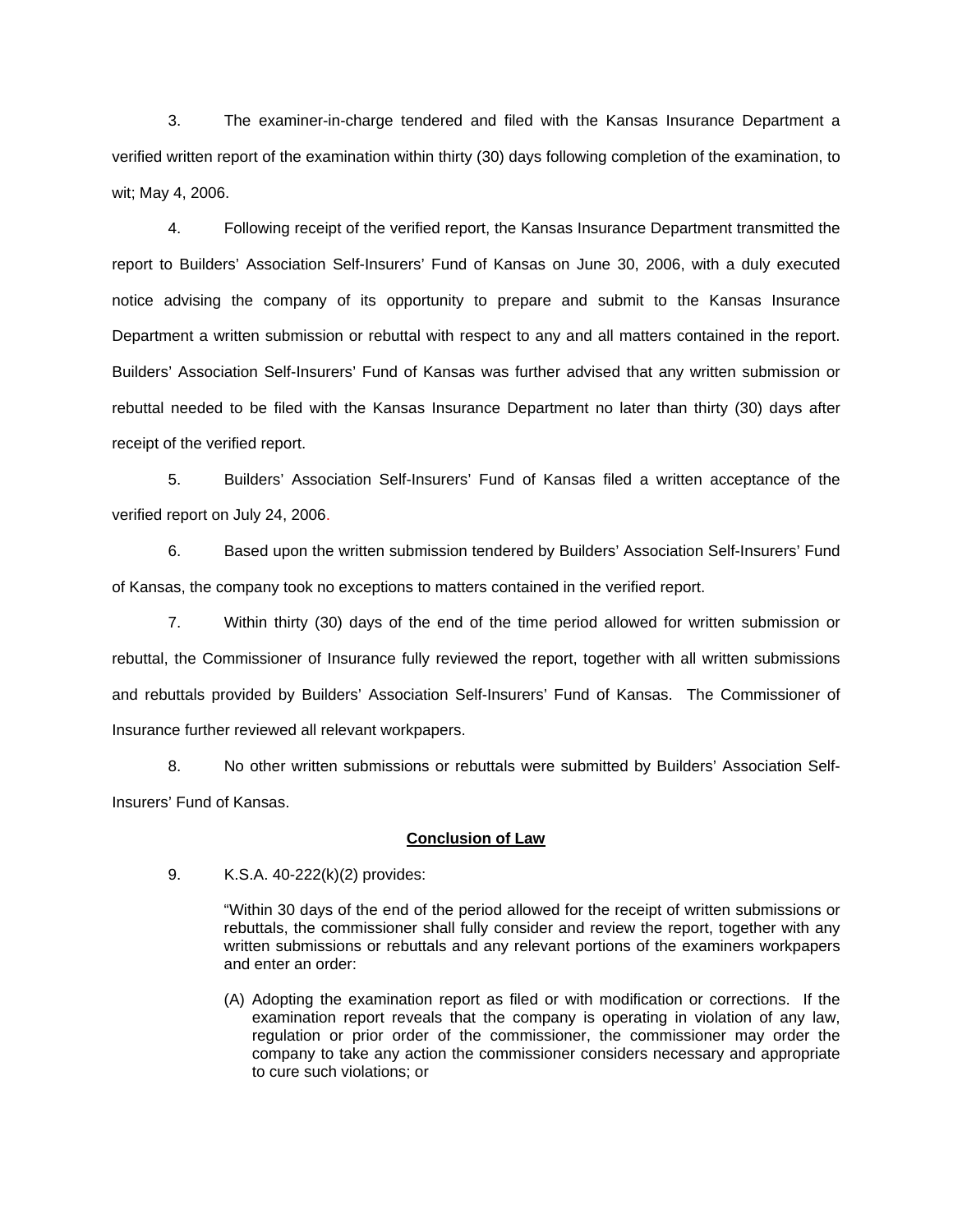3. The examiner-in-charge tendered and filed with the Kansas Insurance Department a verified written report of the examination within thirty (30) days following completion of the examination, to wit; May 4, 2006.

 4. Following receipt of the verified report, the Kansas Insurance Department transmitted the report to Builders' Association Self-Insurers' Fund of Kansas on June 30, 2006, with a duly executed notice advising the company of its opportunity to prepare and submit to the Kansas Insurance Department a written submission or rebuttal with respect to any and all matters contained in the report. Builders' Association Self-Insurers' Fund of Kansas was further advised that any written submission or rebuttal needed to be filed with the Kansas Insurance Department no later than thirty (30) days after receipt of the verified report.

 5. Builders' Association Self-Insurers' Fund of Kansas filed a written acceptance of the verified report on July 24, 2006.

6. Based upon the written submission tendered by Builders' Association Self-Insurers' Fund of Kansas, the company took no exceptions to matters contained in the verified report.

 7. Within thirty (30) days of the end of the time period allowed for written submission or rebuttal, the Commissioner of Insurance fully reviewed the report, together with all written submissions and rebuttals provided by Builders' Association Self-Insurers' Fund of Kansas. The Commissioner of Insurance further reviewed all relevant workpapers.

 8. No other written submissions or rebuttals were submitted by Builders' Association Self-Insurers' Fund of Kansas.

## **Conclusion of Law**

9. K.S.A. 40-222(k)(2) provides:

"Within 30 days of the end of the period allowed for the receipt of written submissions or rebuttals, the commissioner shall fully consider and review the report, together with any written submissions or rebuttals and any relevant portions of the examiners workpapers and enter an order:

(A) Adopting the examination report as filed or with modification or corrections. If the examination report reveals that the company is operating in violation of any law, regulation or prior order of the commissioner, the commissioner may order the company to take any action the commissioner considers necessary and appropriate to cure such violations; or